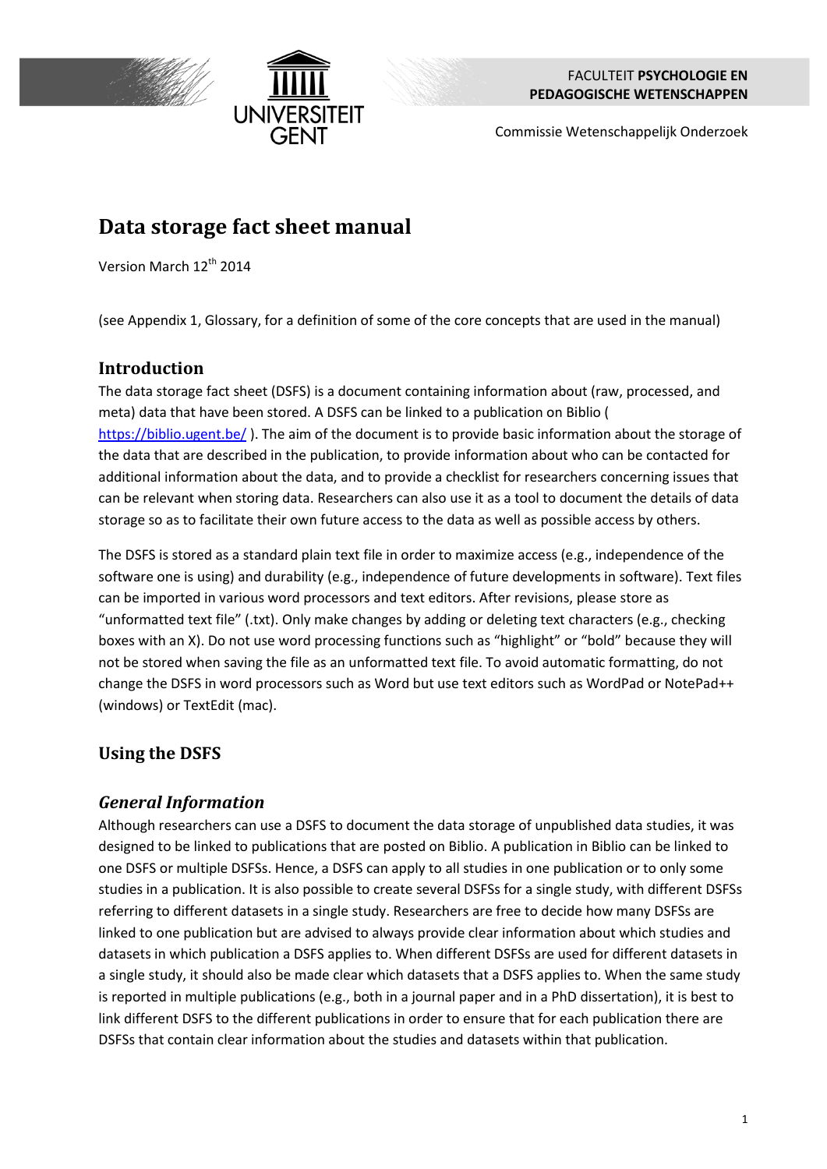



Commissie Wetenschappelijk Onderzoek

# **Data storage fact sheet manual**

Version March 12<sup>th</sup> 2014

(see Appendix 1, Glossary, for a definition of some of the core concepts that are used in the manual)

#### **Introduction**

The data storage fact sheet (DSFS) is a document containing information about (raw, processed, and meta) data that have been stored. A DSFS can be linked to a publication on Biblio ( <https://biblio.ugent.be/> ). The aim of the document is to provide basic information about the storage of the data that are described in the publication, to provide information about who can be contacted for additional information about the data, and to provide a checklist for researchers concerning issues that can be relevant when storing data. Researchers can also use it as a tool to document the details of data storage so as to facilitate their own future access to the data as well as possible access by others.

The DSFS is stored as a standard plain text file in order to maximize access (e.g., independence of the software one is using) and durability (e.g., independence of future developments in software). Text files can be imported in various word processors and text editors. After revisions, please store as "unformatted text file" (.txt). Only make changes by adding or deleting text characters (e.g., checking boxes with an X). Do not use word processing functions such as "highlight" or "bold" because they will not be stored when saving the file as an unformatted text file. To avoid automatic formatting, do not change the DSFS in word processors such as Word but use text editors such as WordPad or NotePad++ (windows) or TextEdit (mac).

## **Using the DSFS**

#### *General Information*

Although researchers can use a DSFS to document the data storage of unpublished data studies, it was designed to be linked to publications that are posted on Biblio. A publication in Biblio can be linked to one DSFS or multiple DSFSs. Hence, a DSFS can apply to all studies in one publication or to only some studies in a publication. It is also possible to create several DSFSs for a single study, with different DSFSs referring to different datasets in a single study. Researchers are free to decide how many DSFSs are linked to one publication but are advised to always provide clear information about which studies and datasets in which publication a DSFS applies to. When different DSFSs are used for different datasets in a single study, it should also be made clear which datasets that a DSFS applies to. When the same study is reported in multiple publications (e.g., both in a journal paper and in a PhD dissertation), it is best to link different DSFS to the different publications in order to ensure that for each publication there are DSFSs that contain clear information about the studies and datasets within that publication.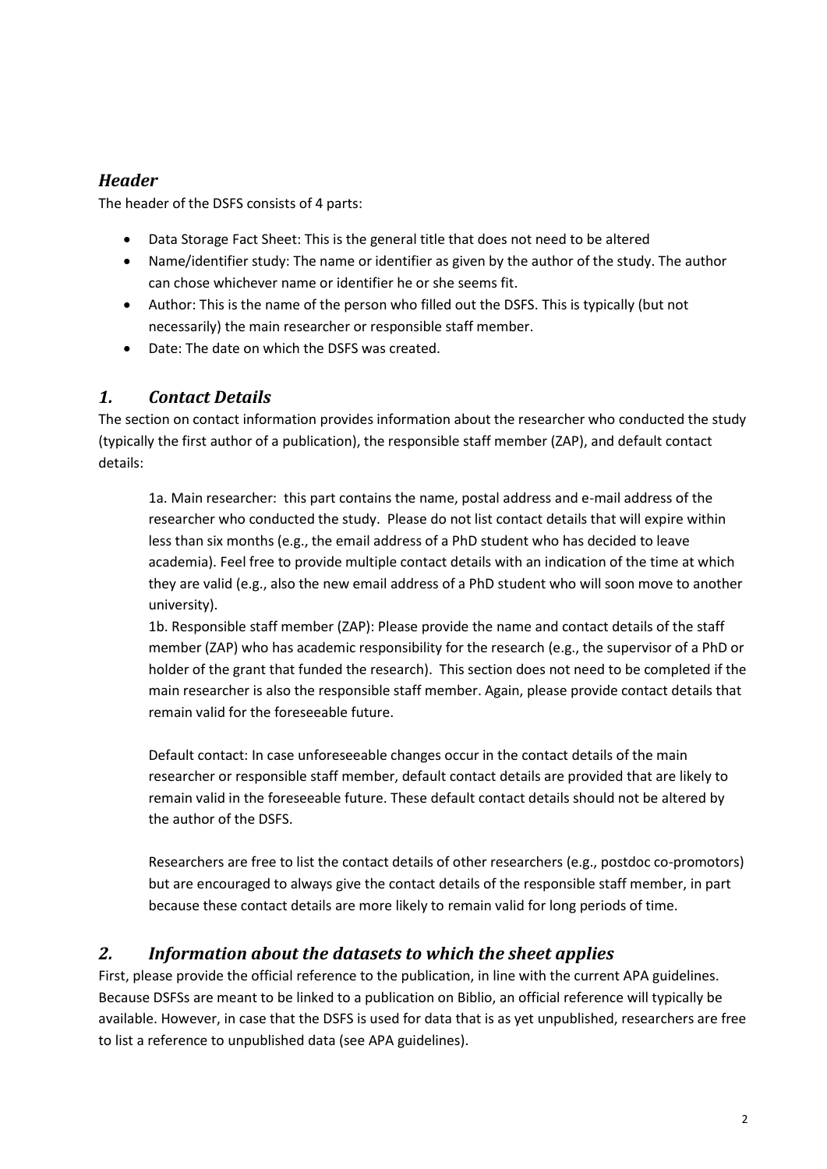#### *Header*

The header of the DSFS consists of 4 parts:

- Data Storage Fact Sheet: This is the general title that does not need to be altered
- Name/identifier study: The name or identifier as given by the author of the study. The author can chose whichever name or identifier he or she seems fit.
- Author: This is the name of the person who filled out the DSFS. This is typically (but not necessarily) the main researcher or responsible staff member.
- Date: The date on which the DSFS was created.

## *1. Contact Details*

The section on contact information provides information about the researcher who conducted the study (typically the first author of a publication), the responsible staff member (ZAP), and default contact details:

1a. Main researcher: this part contains the name, postal address and e-mail address of the researcher who conducted the study. Please do not list contact details that will expire within less than six months (e.g., the email address of a PhD student who has decided to leave academia). Feel free to provide multiple contact details with an indication of the time at which they are valid (e.g., also the new email address of a PhD student who will soon move to another university).

1b. Responsible staff member (ZAP): Please provide the name and contact details of the staff member (ZAP) who has academic responsibility for the research (e.g., the supervisor of a PhD or holder of the grant that funded the research). This section does not need to be completed if the main researcher is also the responsible staff member. Again, please provide contact details that remain valid for the foreseeable future.

Default contact: In case unforeseeable changes occur in the contact details of the main researcher or responsible staff member, default contact details are provided that are likely to remain valid in the foreseeable future. These default contact details should not be altered by the author of the DSFS.

Researchers are free to list the contact details of other researchers (e.g., postdoc co-promotors) but are encouraged to always give the contact details of the responsible staff member, in part because these contact details are more likely to remain valid for long periods of time.

## *2. Information about the datasets to which the sheet applies*

First, please provide the official reference to the publication, in line with the current APA guidelines. Because DSFSs are meant to be linked to a publication on Biblio, an official reference will typically be available. However, in case that the DSFS is used for data that is as yet unpublished, researchers are free to list a reference to unpublished data (see APA guidelines).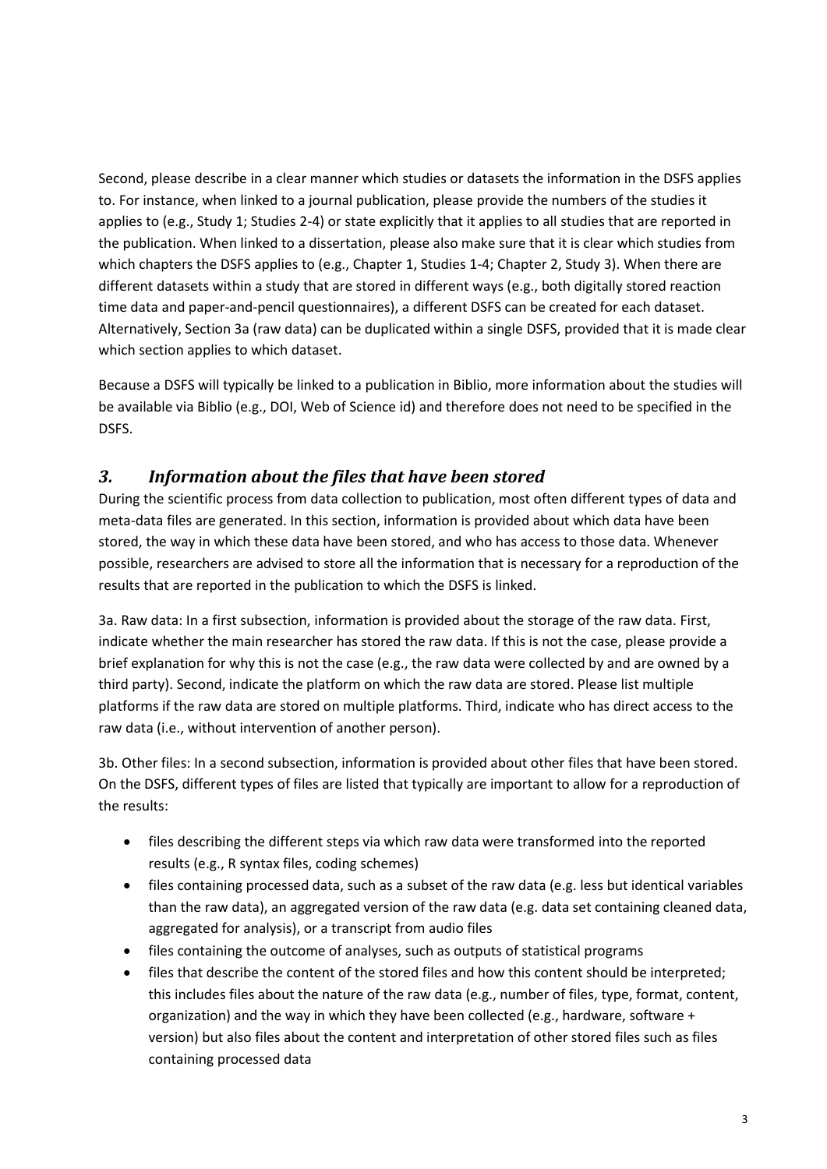Second, please describe in a clear manner which studies or datasets the information in the DSFS applies to. For instance, when linked to a journal publication, please provide the numbers of the studies it applies to (e.g., Study 1; Studies 2-4) or state explicitly that it applies to all studies that are reported in the publication. When linked to a dissertation, please also make sure that it is clear which studies from which chapters the DSFS applies to (e.g., Chapter 1, Studies 1-4; Chapter 2, Study 3). When there are different datasets within a study that are stored in different ways (e.g., both digitally stored reaction time data and paper-and-pencil questionnaires), a different DSFS can be created for each dataset. Alternatively, Section 3a (raw data) can be duplicated within a single DSFS, provided that it is made clear which section applies to which dataset.

Because a DSFS will typically be linked to a publication in Biblio, more information about the studies will be available via Biblio (e.g., DOI, Web of Science id) and therefore does not need to be specified in the DSFS.

## *3. Information about the files that have been stored*

During the scientific process from data collection to publication, most often different types of data and meta-data files are generated. In this section, information is provided about which data have been stored, the way in which these data have been stored, and who has access to those data. Whenever possible, researchers are advised to store all the information that is necessary for a reproduction of the results that are reported in the publication to which the DSFS is linked.

3a. Raw data: In a first subsection, information is provided about the storage of the raw data. First, indicate whether the main researcher has stored the raw data. If this is not the case, please provide a brief explanation for why this is not the case (e.g., the raw data were collected by and are owned by a third party). Second, indicate the platform on which the raw data are stored. Please list multiple platforms if the raw data are stored on multiple platforms. Third, indicate who has direct access to the raw data (i.e., without intervention of another person).

3b. Other files: In a second subsection, information is provided about other files that have been stored. On the DSFS, different types of files are listed that typically are important to allow for a reproduction of the results:

- files describing the different steps via which raw data were transformed into the reported results (e.g., R syntax files, coding schemes)
- files containing processed data, such as a subset of the raw data (e.g. less but identical variables than the raw data), an aggregated version of the raw data (e.g. data set containing cleaned data, aggregated for analysis), or a transcript from audio files
- files containing the outcome of analyses, such as outputs of statistical programs
- files that describe the content of the stored files and how this content should be interpreted; this includes files about the nature of the raw data (e.g., number of files, type, format, content, organization) and the way in which they have been collected (e.g., hardware, software + version) but also files about the content and interpretation of other stored files such as files containing processed data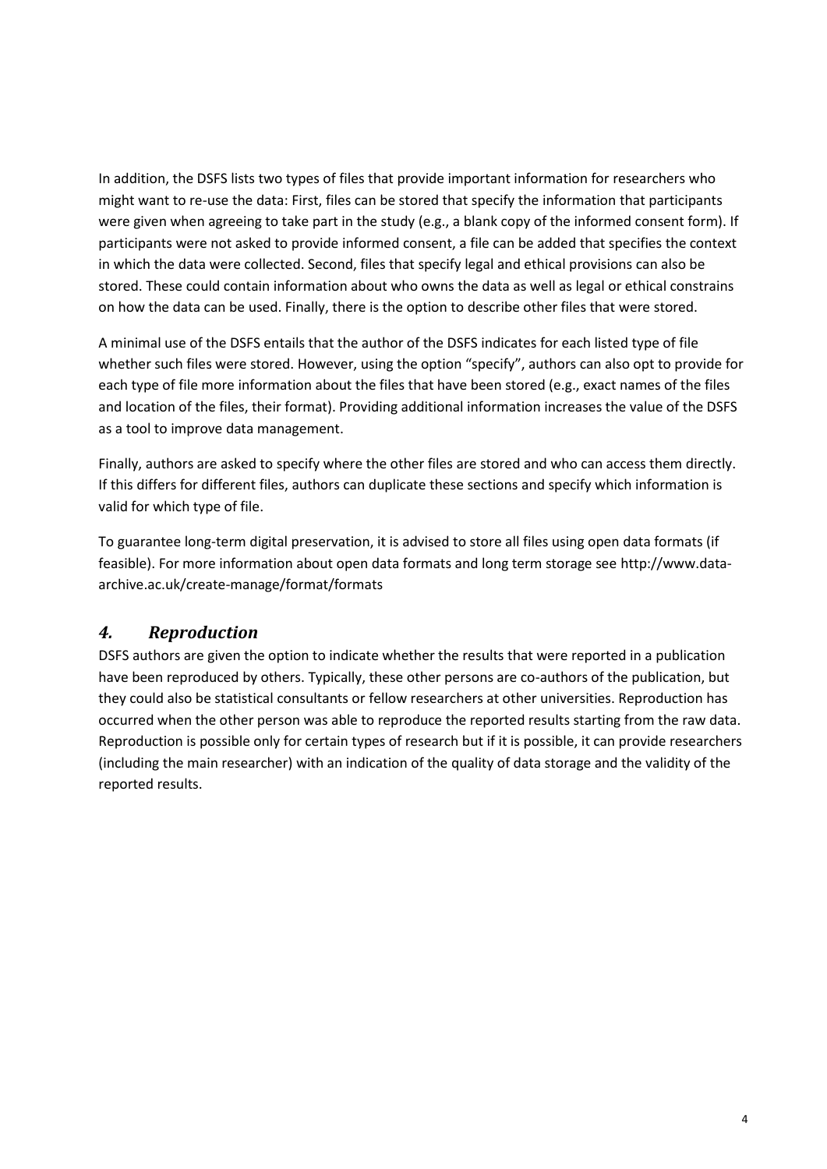In addition, the DSFS lists two types of files that provide important information for researchers who might want to re-use the data: First, files can be stored that specify the information that participants were given when agreeing to take part in the study (e.g., a blank copy of the informed consent form). If participants were not asked to provide informed consent, a file can be added that specifies the context in which the data were collected. Second, files that specify legal and ethical provisions can also be stored. These could contain information about who owns the data as well as legal or ethical constrains on how the data can be used. Finally, there is the option to describe other files that were stored.

A minimal use of the DSFS entails that the author of the DSFS indicates for each listed type of file whether such files were stored. However, using the option "specify", authors can also opt to provide for each type of file more information about the files that have been stored (e.g., exact names of the files and location of the files, their format). Providing additional information increases the value of the DSFS as a tool to improve data management.

Finally, authors are asked to specify where the other files are stored and who can access them directly. If this differs for different files, authors can duplicate these sections and specify which information is valid for which type of file.

To guarantee long-term digital preservation, it is advised to store all files using open data formats (if feasible). For more information about open data formats and long term storage see http://www.dataarchive.ac.uk/create-manage/format/formats

## *4. Reproduction*

DSFS authors are given the option to indicate whether the results that were reported in a publication have been reproduced by others. Typically, these other persons are co-authors of the publication, but they could also be statistical consultants or fellow researchers at other universities. Reproduction has occurred when the other person was able to reproduce the reported results starting from the raw data. Reproduction is possible only for certain types of research but if it is possible, it can provide researchers (including the main researcher) with an indication of the quality of data storage and the validity of the reported results.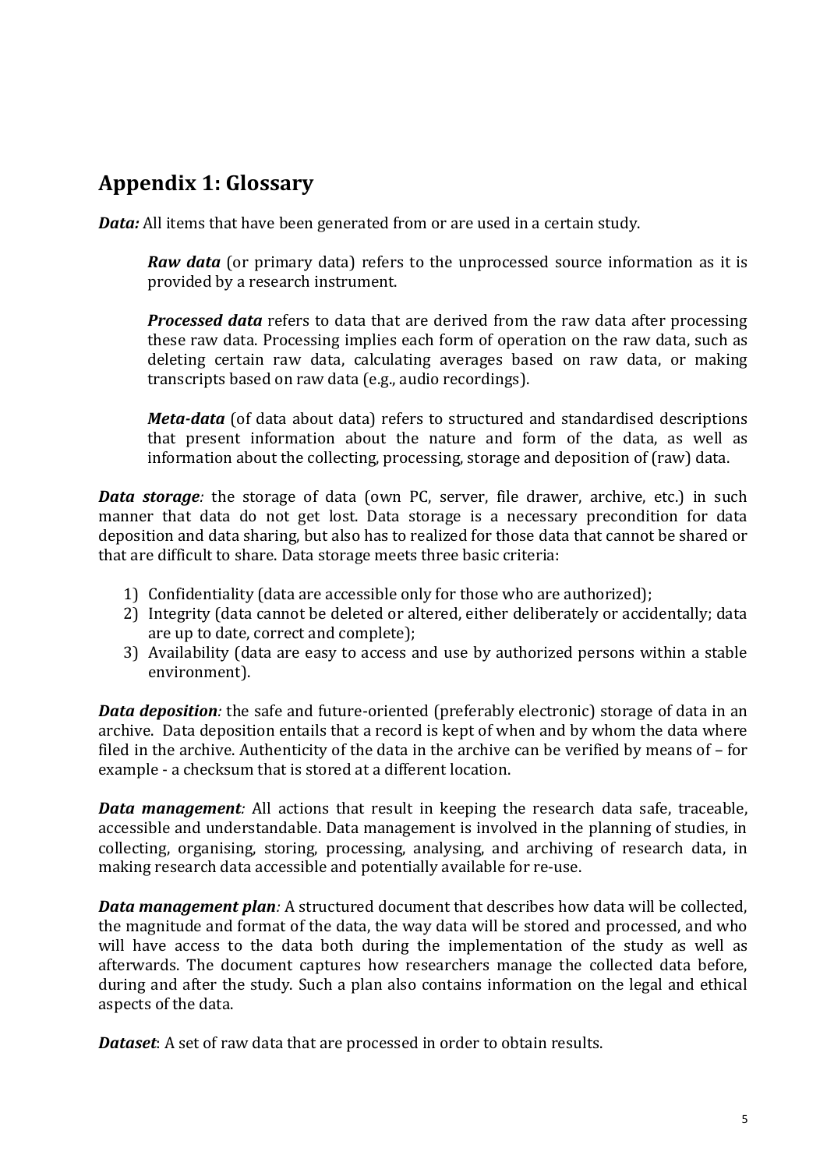## **Appendix 1: Glossary**

*Data:* All items that have been generated from or are used in a certain study.

*Raw data* (or primary data) refers to the unprocessed source information as it is provided by a research instrument.

*Processed data* refers to data that are derived from the raw data after processing these raw data. Processing implies each form of operation on the raw data, such as deleting certain raw data, calculating averages based on raw data, or making transcripts based on raw data (e.g., audio recordings).

*Meta-data* (of data about data) refers to structured and standardised descriptions that present information about the nature and form of the data, as well as information about the collecting, processing, storage and deposition of (raw) data.

*Data storage*: the storage of data (own PC, server, file drawer, archive, etc.) in such manner that data do not get lost. Data storage is a necessary precondition for data deposition and data sharing, but also has to realized for those data that cannot be shared or that are difficult to share. Data storage meets three basic criteria:

- 1) Confidentiality (data are accessible only for those who are authorized);
- 2) Integrity (data cannot be deleted or altered, either deliberately or accidentally; data are up to date, correct and complete);
- 3) Availability (data are easy to access and use by authorized persons within a stable environment).

*Data deposition:* the safe and future-oriented (preferably electronic) storage of data in an archive. Data deposition entails that a record is kept of when and by whom the data where filed in the archive. Authenticity of the data in the archive can be verified by means of – for example - a checksum that is stored at a different location.

*Data management:* All actions that result in keeping the research data safe, traceable, accessible and understandable. Data management is involved in the planning of studies, in collecting, organising, storing, processing, analysing, and archiving of research data, in making research data accessible and potentially available for re-use.

*Data management plan:* A structured document that describes how data will be collected, the magnitude and format of the data, the way data will be stored and processed, and who will have access to the data both during the implementation of the study as well as afterwards. The document captures how researchers manage the collected data before, during and after the study. Such a plan also contains information on the legal and ethical aspects of the data.

*Dataset*: A set of raw data that are processed in order to obtain results.